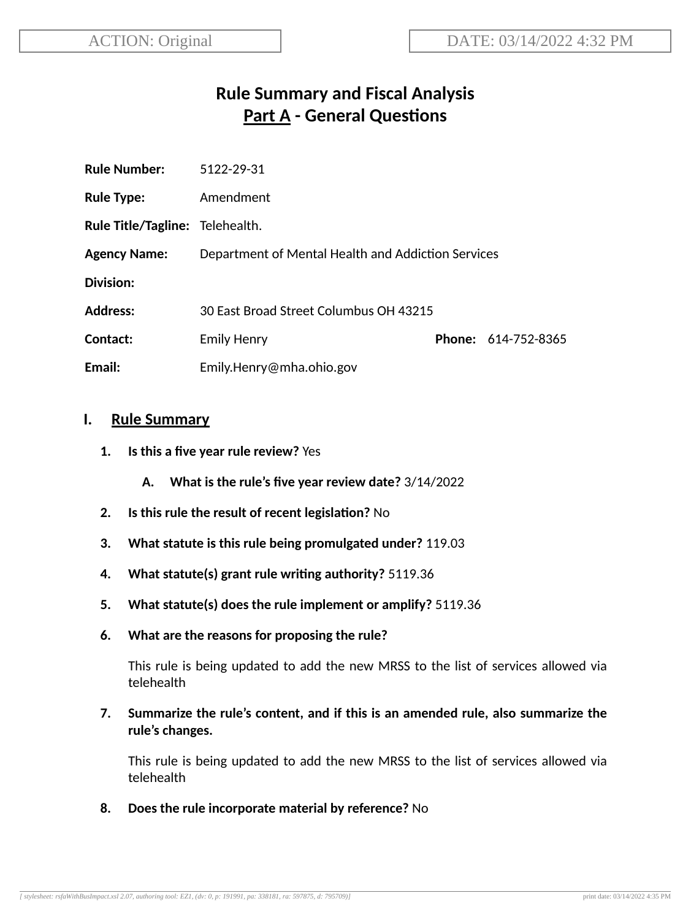# **Rule Summary and Fiscal Analysis Part A - General Questions**

| <b>Rule Number:</b>             | 5122-29-31                                         |  |                            |
|---------------------------------|----------------------------------------------------|--|----------------------------|
| <b>Rule Type:</b>               | Amendment                                          |  |                            |
| Rule Title/Tagline: Telehealth. |                                                    |  |                            |
| <b>Agency Name:</b>             | Department of Mental Health and Addiction Services |  |                            |
| Division:                       |                                                    |  |                            |
| <b>Address:</b>                 | 30 East Broad Street Columbus OH 43215             |  |                            |
| Contact:                        | <b>Emily Henry</b>                                 |  | <b>Phone: 614-752-8365</b> |
| Email:                          | Emily.Henry@mha.ohio.gov                           |  |                            |

#### **I. Rule Summary**

- **1. Is this a five year rule review?** Yes
	- **A. What is the rule's five year review date?** 3/14/2022
- **2.** Is this rule the result of recent legislation? No
- **3. What statute is this rule being promulgated under?** 119.03
- **4. What statute(s) grant rule wring authority?** 5119.36
- **5. What statute(s) does the rule implement or amplify?** 5119.36
- **6. What are the reasons for proposing the rule?**

This rule is being updated to add the new MRSS to the list of services allowed via telehealth

**7. Summarize the rule's content, and if this is an amended rule, also summarize the rule's changes.**

This rule is being updated to add the new MRSS to the list of services allowed via telehealth

**8. Does the rule incorporate material by reference?** No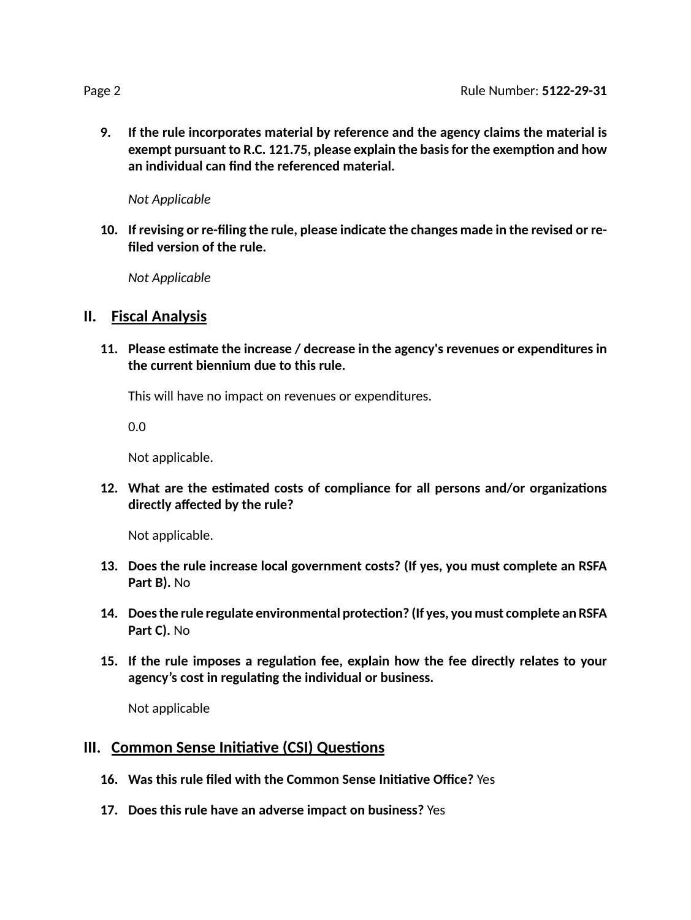**9. If the rule incorporates material by reference and the agency claims the material is exempt pursuant to R.C. 121.75, please explain the basisfor the exempon and how an individual can find the referenced material.**

*Not Applicable*

**10. If revising or re-filing the rule, please indicate the changes made in the revised or refiled version of the rule.**

*Not Applicable*

### **II. Fiscal Analysis**

**11. Please esmate the increase / decrease in the agency's revenues or expenditures in the current biennium due to this rule.**

This will have no impact on revenues or expenditures.

0.0

Not applicable.

**12.** What are the estimated costs of compliance for all persons and/or organizations **directly affected by the rule?**

Not applicable.

- **13. Does the rule increase local government costs? (If yes, you must complete an RSFA Part B).** No
- **14. Doesthe rule regulate environmental protecon? (If yes, you must complete an RSFA Part C).** No
- **15. If the rule imposes a regulaon fee, explain how the fee directly relates to your agency's cost in regulang the individual or business.**

Not applicable

### **III.** Common Sense Initiative (CSI) Questions

- **16. Was this rule filed with the Common Sense Iniave Office?** Yes
- **17. Does this rule have an adverse impact on business?** Yes